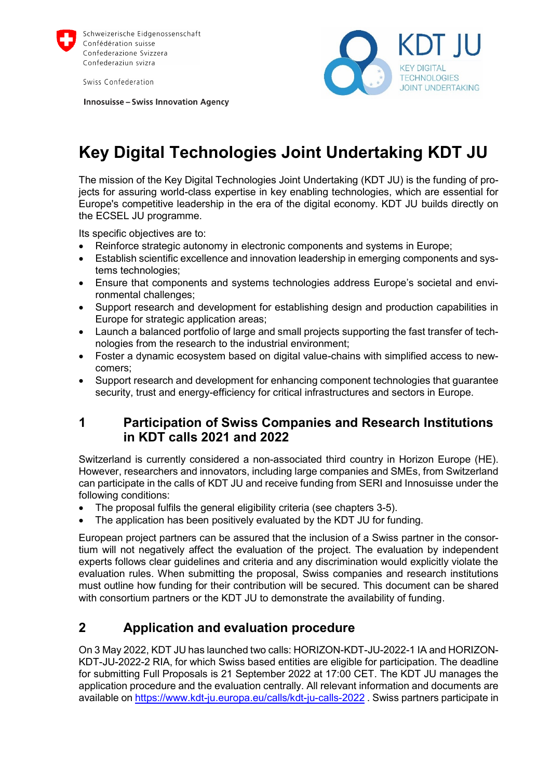

Swiss Confederation

**Innosuisse - Swiss Innovation Agency** 



# **Key Digital Technologies Joint Undertaking KDT JU**

The mission of the Key Digital Technologies Joint Undertaking (KDT JU) is the funding of projects for assuring world-class expertise in key enabling technologies, which are essential for Europe's competitive leadership in the era of the digital economy. KDT JU builds directly on the ECSEL JU programme.

Its specific objectives are to:

- Reinforce strategic autonomy in electronic components and systems in Europe;
- Establish scientific excellence and innovation leadership in emerging components and systems technologies;
- Ensure that components and systems technologies address Europe's societal and environmental challenges;
- Support research and development for establishing design and production capabilities in Europe for strategic application areas;
- Launch a balanced portfolio of large and small projects supporting the fast transfer of technologies from the research to the industrial environment;
- Foster a dynamic ecosystem based on digital value-chains with simplified access to newcomers;
- Support research and development for enhancing component technologies that guarantee security, trust and energy-efficiency for critical infrastructures and sectors in Europe.

### **1 Participation of Swiss Companies and Research Institutions in KDT calls 2021 and 2022**

Switzerland is currently considered a non-associated third country in Horizon Europe (HE). However, researchers and innovators, including large companies and SMEs, from Switzerland can participate in the calls of KDT JU and receive funding from SERI and Innosuisse under the following conditions:

- The proposal fulfils the general eligibility criteria (see chapters 3-5).
- The application has been positively evaluated by the KDT JU for funding.

European project partners can be assured that the inclusion of a Swiss partner in the consortium will not negatively affect the evaluation of the project. The evaluation by independent experts follows clear guidelines and criteria and any discrimination would explicitly violate the evaluation rules. When submitting the proposal, Swiss companies and research institutions must outline how funding for their contribution will be secured. This document can be shared with consortium partners or the KDT JU to demonstrate the availability of funding.

## **2 Application and evaluation procedure**

On 3 May 2022, KDT JU has launched two calls: HORIZON-KDT-JU-2022-1 IA and HORIZON-KDT-JU-2022-2 RIA, for which Swiss based entities are eligible for participation. The deadline for submitting Full Proposals is 21 September 2022 at 17:00 CET. The KDT JU manages the application procedure and the evaluation centrally. All relevant information and documents are available on <https://www.kdt-ju.europa.eu/calls/kdt-ju-calls-2022> . Swiss partners participate in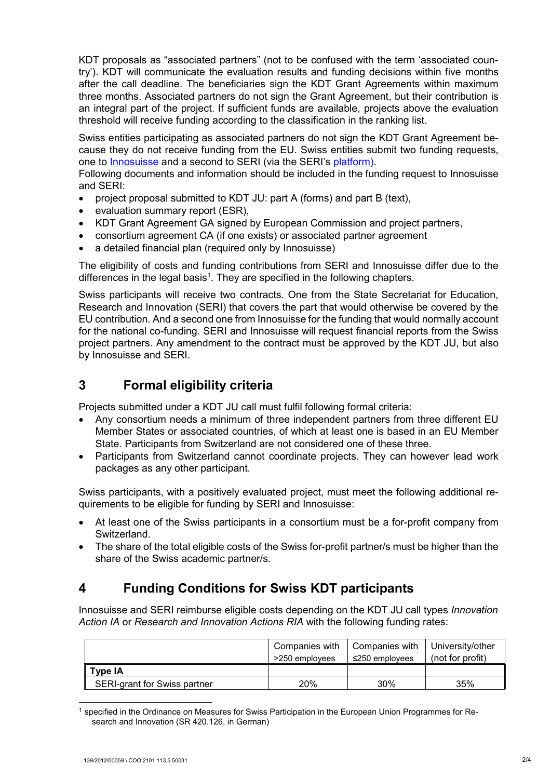KDT proposals as "associated partners" (not to be confused with the term 'associated country'). KDT will communicate the evaluation results and funding decisions within five months after the call deadline. The beneficiaries sign the KDT Grant Agreements within maximum three months. Associated partners do not sign the Grant Agreement, but their contribution is an integral part of the project. If sufficient funds are available, projects above the evaluation threshold will receive funding according to the classification in the ranking list.

Swiss entities participating as associated partners do not sign the KDT Grant Agreement because they do not receive funding from the EU. Swiss entities submit two funding requests, one to [Innosuisse](https://www.privasphere.com/prepaid_en.jsp;jsessionid=74523317931E1D4662FFEB440E3636CE?n0w=220531084955&IFRAME=innosuisse) and a second to SERI (via the SERI's [platform\)](https://www.sbfi.admin.ch/sbfi/en/home/research-and-innovation/international-cooperation-r-and-i/eu-framework-programmes-for-research/horizon-europe/transitional-measures.html).

Following documents and information should be included in the funding request to Innosuisse and SERI:

- project proposal submitted to KDT JU: part A (forms) and part B (text),
- evaluation summary report (ESR),
- KDT Grant Agreement GA signed by European Commission and project partners,
- consortium agreement CA (if one exists) or associated partner agreement
- a detailed financial plan (required only by Innosuisse)

The eligibility of costs and funding contributions from SERI and Innosuisse differ due to the differences in the legal basis<sup>1</sup>. They are specified in the following chapters.

Swiss participants will receive two contracts. One from the State Secretariat for Education, Research and Innovation (SERI) that covers the part that would otherwise be covered by the EU contribution. And a second one from Innosuisse for the funding that would normally account for the national co-funding. SERI and Innosuisse will request financial reports from the Swiss project partners. Any amendment to the contract must be approved by the KDT JU, but also by Innosuisse and SERI.

# **3 Formal eligibility criteria**

Projects submitted under a KDT JU call must fulfil following formal criteria:

- Any consortium needs a minimum of three independent partners from three different EU Member States or associated countries, of which at least one is based in an EU Member State. Participants from Switzerland are not considered one of these three.
- Participants from Switzerland cannot coordinate projects. They can however lead work packages as any other participant.

Swiss participants, with a positively evaluated project, must meet the following additional requirements to be eligible for funding by SERI and Innosuisse:

- At least one of the Swiss participants in a consortium must be a for-profit company from Switzerland.
- The share of the total eligible costs of the Swiss for-profit partner/s must be higher than the share of the Swiss academic partner/s.

# **4 Funding Conditions for Swiss KDT participants**

Innosuisse and SERI reimburse eligible costs depending on the KDT JU call types *Innovation Action IA* or *Research and Innovation Actions RIA* with the following funding rates:

|                                     | Companies with<br>>250 employees | Companies with<br>≤250 emplovees | University/other<br>(not for profit) |
|-------------------------------------|----------------------------------|----------------------------------|--------------------------------------|
| Tvpe IA                             |                                  |                                  |                                      |
| <b>SERI-grant for Swiss partner</b> | 20%                              | 30%                              | 35%                                  |

<sup>&</sup>lt;sup>1</sup> specified in the Ordinance on Measures for Swiss Participation in the European Union Programmes for Research and Innovation (SR 420.126, in German)

-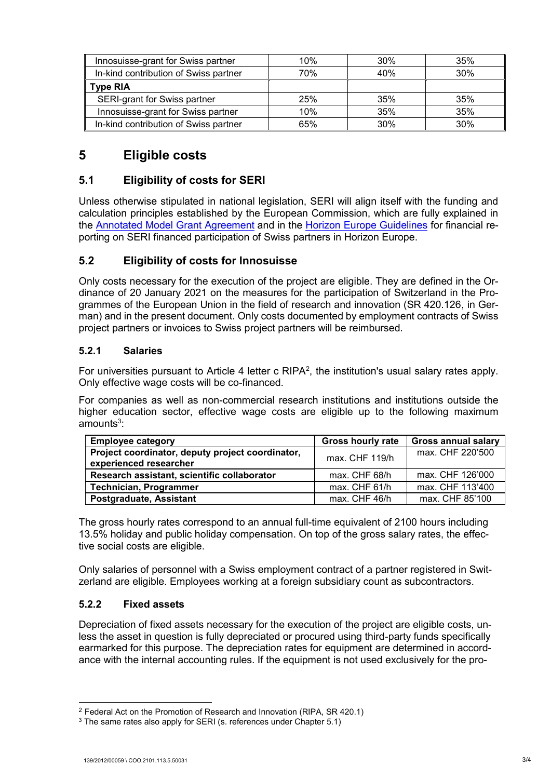| Innosuisse-grant for Swiss partner    | 10% | 30% | 35% |
|---------------------------------------|-----|-----|-----|
| In-kind contribution of Swiss partner | 70% | 40% | 30% |
| <b>Type RIA</b>                       |     |     |     |
| SERI-grant for Swiss partner          | 25% | 35% | 35% |
| Innosuisse-grant for Swiss partner    | 10% | 35% | 35% |
| In-kind contribution of Swiss partner | 65% | 30% | 30% |

# **5 Eligible costs**

### **5.1 Eligibility of costs for SERI**

Unless otherwise stipulated in national legislation, SERI will align itself with the funding and calculation principles established by the European Commission, which are fully explained in the [Annotated Model Grant Agreement](https://ec.europa.eu/info/funding-tenders/opportunities/docs/2021-2027/common/guidance/aga_en.pdf) and in the [Horizon Europe Guidelines](https://www.sbfi.admin.ch/dam/sbfi/en/dokumente/2021/10/h-e-fin-web.pdf.download.pdf/heufinguide_e.pdf) for financial reporting on SERI financed participation of Swiss partners in Horizon Europe.

### **5.2 Eligibility of costs for Innosuisse**

Only costs necessary for the execution of the project are eligible. They are defined in the Ordinance of 20 January 2021 on the measures for the participation of Switzerland in the Programmes of the European Union in the field of research and innovation (SR 420.126, in German) and in the present document. Only costs documented by employment contracts of Swiss project partners or invoices to Swiss project partners will be reimbursed.

#### **5.2.1 Salaries**

For universities pursuant to Article 4 letter c RIPA<sup>2</sup>, the institution's usual salary rates apply. Only effective wage costs will be co-financed.

For companies as well as non-commercial research institutions and institutions outside the higher education sector, effective wage costs are eligible up to the following maximum amounts<sup>3</sup>:

| <b>Employee category</b>                                                   | <b>Gross hourly rate</b> | <b>Gross annual salary</b> |
|----------------------------------------------------------------------------|--------------------------|----------------------------|
| Project coordinator, deputy project coordinator,<br>experienced researcher | $max$ . CHF 119/h        | max. CHF 220'500           |
| Research assistant, scientific collaborator                                | max. CHF 68/h            | max. CHF 126'000           |
| <b>Technician, Programmer</b>                                              | max. CHF 61/h            | max. CHF 113'400           |
| Postgraduate, Assistant                                                    | max. CHF 46/h            | max. CHF 85'100            |

The gross hourly rates correspond to an annual full-time equivalent of 2100 hours including 13.5% holiday and public holiday compensation. On top of the gross salary rates, the effective social costs are eligible.

Only salaries of personnel with a Swiss employment contract of a partner registered in Switzerland are eligible. Employees working at a foreign subsidiary count as subcontractors.

#### **5.2.2 Fixed assets**

Depreciation of fixed assets necessary for the execution of the project are eligible costs, unless the asset in question is fully depreciated or procured using third-party funds specifically earmarked for this purpose. The depreciation rates for equipment are determined in accordance with the internal accounting rules. If the equipment is not used exclusively for the pro-

-

<sup>&</sup>lt;sup>2</sup> Federal Act on the Promotion of Research and Innovation (RIPA, SR 420.1)

 $3$  The same rates also apply for SERI (s. references under Chapter 5.1)